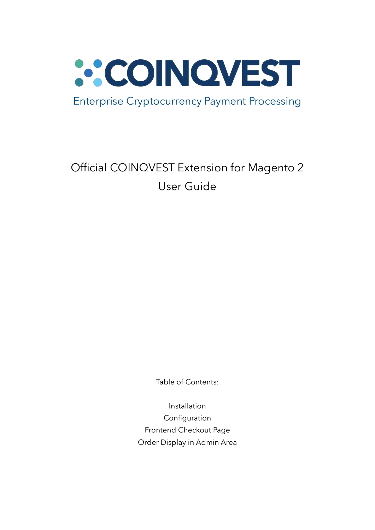

## Official COINQVEST Extension for Magento 2 User Guide

Table of Contents:

Installation Configuration Frontend Checkout Page Order Display in Admin Area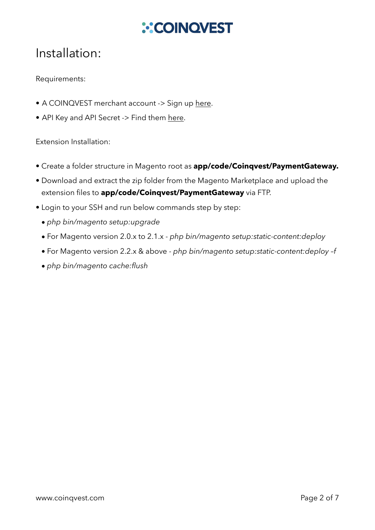# **ACOINQVEST**

### Installation:

#### Requirements:

- A COINQVEST merchant account -> Sign up [here](https://www.coinqvest.com/).
- API Key and API Secret -> Find them [here.](https://www.coinqvest.com/en/api-settings)

Extension Installation:

- Create a folder structure in Magento root as **app/code/Coinqvest/PaymentGateway.**
- Download and extract the zip folder from the Magento Marketplace and upload the extension files to **app/code/Coinqvest/PaymentGateway** via FTP.
- Login to your SSH and run below commands step by step:
	- *• php bin/magento setup:upgrade*
	- For Magento version 2.0.x to 2.1.x *php bin/magento setup:static-content:deploy*
	- For Magento version 2.2.x & above *php bin/magento setup:static-content:deploy –f*
	- *• php bin/magento cache:flush*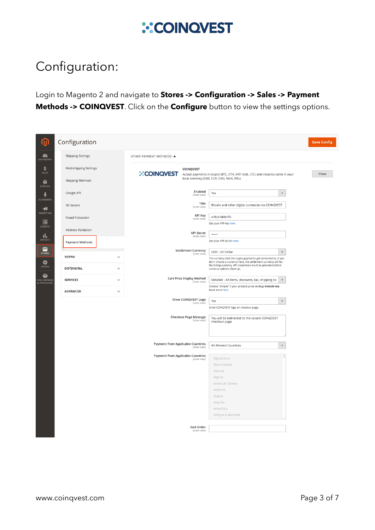### Configuration:

Login to Magento 2 and navigate to **Stores -> Configuration -> Sales -> Payment Methods -> COINQVEST**. Click on the **Configure** button to view the settings options.

| 侕                                         | Configuration          |              |                                          |                                                                                  |                                                                                                                                                    |                          | <b>Save Config</b> |  |  |  |
|-------------------------------------------|------------------------|--------------|------------------------------------------|----------------------------------------------------------------------------------|----------------------------------------------------------------------------------------------------------------------------------------------------|--------------------------|--------------------|--|--|--|
| $\bullet$<br><b>DASHBOARD</b>             | Shipping Settings      |              | OTHER PAYMENT METHODS: ▲                 |                                                                                  |                                                                                                                                                    |                          |                    |  |  |  |
| \$<br>SALES                               | Multishipping Settings |              | <b>COINQVEST</b><br><b>::COINQVEST</b>   | Accept payments in crypto (BTC, ETH, XRP, XLM, LTC) and instantly settle in your | Close                                                                                                                                              |                          |                    |  |  |  |
| Ŵ<br>CATALOG                              | Shipping Methods       |              |                                          |                                                                                  | local currency (USD, EUR, CAD, NGN, BRL).                                                                                                          |                          |                    |  |  |  |
| ŵ<br>CUSTOMERS                            | Google API             |              |                                          | Enabled<br>[store view]                                                          | Yes                                                                                                                                                | $\blacktriangledown$     |                    |  |  |  |
| ۰Ų                                        | 3D Secure              |              |                                          | Title<br>[store view]                                                            | Bitcoin and other digital currencies via COINQVEST                                                                                                 |                          |                    |  |  |  |
| MARKETING<br>同                            | Fraud Protection       |              |                                          | API Key<br>[store view]                                                          | a1b2c3d4e5f6<br>Get your API Key here.                                                                                                             |                          |                    |  |  |  |
| CONTENT                                   | Address Validation     |              |                                          | <b>API Secret</b><br>[store view]                                                |                                                                                                                                                    |                          |                    |  |  |  |
| $\prod_{\mathsf{REPORTS}}$<br><b>ALL</b>  | <b>Payment Methods</b> |              |                                          |                                                                                  | Get your API Secret here.                                                                                                                          |                          |                    |  |  |  |
| <b>STORES</b>                             | YOTPO                  | $\check{ }$  | <b>Settlement Currency</b>               | [store view]                                                                     | USD - US Dollar<br>The currency that the crypto payments get converted to. If you<br>don't choose a currency here, the settlement currency will be |                          |                    |  |  |  |
| ✿<br>SYSTEM                               | <b>DOTDIGITAL</b>      | $\checkmark$ |                                          |                                                                                  | the billing currency. API credentials must be provided before<br>currency options show up.                                                         |                          |                    |  |  |  |
| Ŷ<br><b>FIND PARTNERS</b><br>& EXTENSIONS | <b>SERVICES</b>        | $\checkmark$ | Cart Price Display Method                | [store view]                                                                     | Detailed - All items, discounts, tax, shipping co<br>Choose "Simple" if your product price settings include tax.                                   | $\blacktriangledown$     |                    |  |  |  |
|                                           | <b>ADVANCED</b>        | $\checkmark$ |                                          |                                                                                  | Read more here.                                                                                                                                    |                          |                    |  |  |  |
|                                           |                        |              | Show COINQVEST Logo                      | [store view]                                                                     | Yes<br>Show COINQVEST logo on checkout page.                                                                                                       | $\blacktriangledown$     |                    |  |  |  |
|                                           |                        |              | <b>Checkout Page Message</b>             | [store view]                                                                     | You will be redirected to the secure COINQVEST<br>checkout page.                                                                                   |                          |                    |  |  |  |
|                                           |                        |              | <b>Payment from Applicable Countries</b> | [store view]                                                                     | All Allowed Countries                                                                                                                              | $\overline{\phantom{a}}$ |                    |  |  |  |
|                                           |                        |              | <b>Payment from Applicable Countries</b> | [store view]                                                                     | Afghanistan                                                                                                                                        |                          |                    |  |  |  |
|                                           |                        |              |                                          |                                                                                  | Åland Islands<br>Albania                                                                                                                           |                          |                    |  |  |  |
|                                           |                        |              |                                          |                                                                                  | Algeria                                                                                                                                            |                          |                    |  |  |  |
|                                           |                        |              |                                          |                                                                                  | American Samoa                                                                                                                                     |                          |                    |  |  |  |
|                                           |                        |              |                                          |                                                                                  | Andorra                                                                                                                                            |                          |                    |  |  |  |
|                                           |                        |              |                                          |                                                                                  | Angola                                                                                                                                             |                          |                    |  |  |  |
|                                           |                        |              |                                          |                                                                                  | Anguilla                                                                                                                                           |                          |                    |  |  |  |
|                                           |                        |              |                                          |                                                                                  | Antarctica                                                                                                                                         |                          |                    |  |  |  |
|                                           |                        |              |                                          |                                                                                  | Antigua & Barbuda                                                                                                                                  |                          |                    |  |  |  |
|                                           |                        |              |                                          | Sort Order                                                                       |                                                                                                                                                    |                          |                    |  |  |  |
|                                           |                        |              |                                          | [store view]                                                                     |                                                                                                                                                    |                          |                    |  |  |  |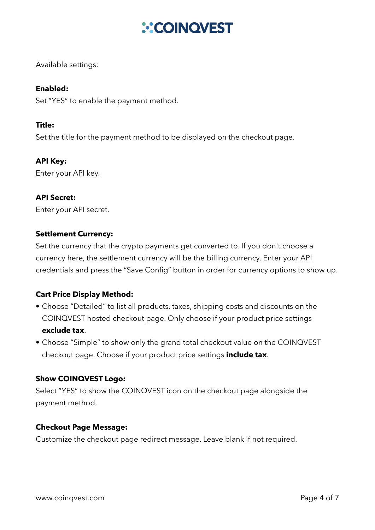## **ACOINQVEST**

Available settings:

#### **Enabled:**

Set "YES" to enable the payment method.

#### **Title:**

Set the title for the payment method to be displayed on the checkout page.

#### **API Key:**

Enter your API key.

#### **API Secret:**

Enter your API secret.

#### **Settlement Currency:**

Set the currency that the crypto payments get converted to. If you don't choose a currency here, the settlement currency will be the billing currency. Enter your API credentials and press the "Save Config" button in order for currency options to show up.

#### **Cart Price Display Method:**

- Choose "Detailed" to list all products, taxes, shipping costs and discounts on the COINQVEST hosted checkout page. Only choose if your product price settings **exclude tax**.
- Choose "Simple" to show only the grand total checkout value on the COINQVEST checkout page. Choose if your product price settings **include tax**.

#### **Show COINQVEST Logo:**

Select "YES" to show the COINQVEST icon on the checkout page alongside the payment method.

#### **Checkout Page Message:**

Customize the checkout page redirect message. Leave blank if not required.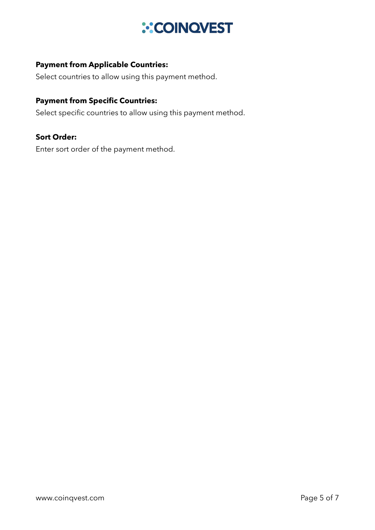#### **Payment from Applicable Countries:**

Select countries to allow using this payment method.

#### **Payment from Specific Countries:**

Select specific countries to allow using this payment method.

#### **Sort Order:**

Enter sort order of the payment method.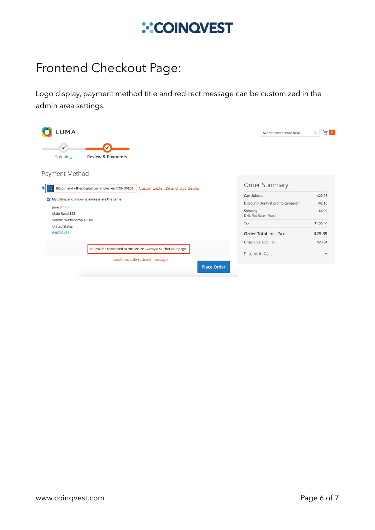### Frontend Checkout Page:

Logo display, payment method title and redirect message can be customized in the admin area settings.

| UMA.                                                                                      | Search entire store here            | 高品<br>Q        |  |  |
|-------------------------------------------------------------------------------------------|-------------------------------------|----------------|--|--|
| ✓<br><b>Review &amp; Payments</b><br>Shipping                                             |                                     |                |  |  |
| Payment Method                                                                            |                                     |                |  |  |
| Bitcoin and other digital currencies via COINQVEST<br>Customizable title and logo display | Order Summary                       |                |  |  |
|                                                                                           | Cart Subtotal                       | \$20.95        |  |  |
| My billing and shipping address are the same                                              | Discount (Our first promo campaign) | $-$2.10$       |  |  |
| Jane Smith<br>Main Road 123                                                               | Shipping<br>DHL Flat Rate - Fixed   | \$4.99         |  |  |
| Seattle, Washington 10000<br><b>United States</b>                                         | Tax                                 | $$1.55$ $\vee$ |  |  |
| 0987654321                                                                                | <b>Order Total Incl. Tax</b>        | \$25.39        |  |  |
|                                                                                           | Order Total Excl. Tax               | \$23.84        |  |  |
| You will be redirected to the secure COINQVEST checkout page.                             | 9 Items in Cart                     | $\checkmark$   |  |  |
| Customizable redirect message<br><b>Place Order</b>                                       |                                     |                |  |  |
|                                                                                           |                                     |                |  |  |